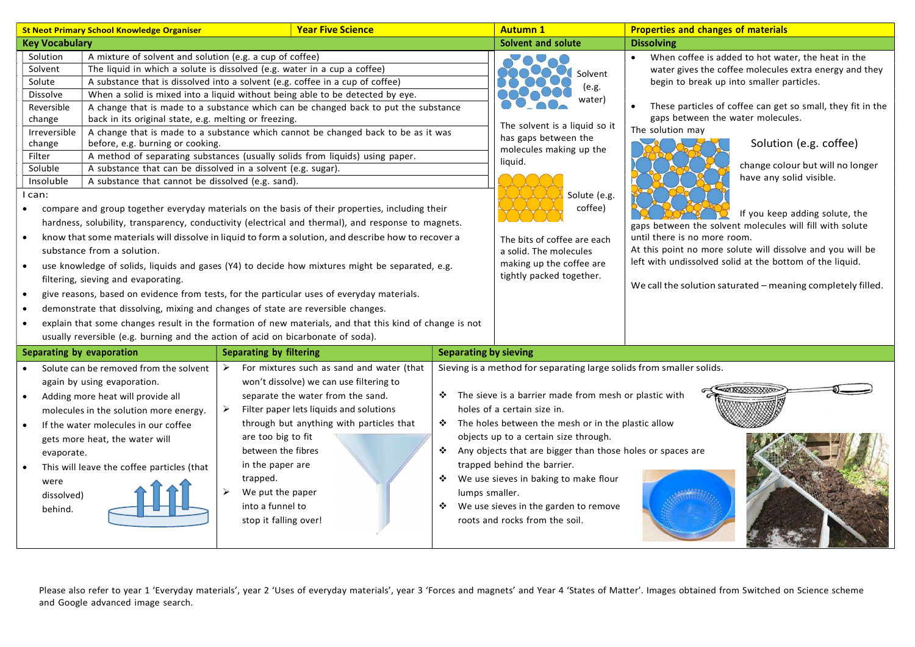| <b>St Neot Primary School Knowledge Organiser</b>                                                                                                                                                                                                                                                                                                                                                                                                                                                                                                                                                                                                                                                                                   | <b>Year Five Science</b>                                                                                                                                                                                                                                                                                                                                                                                                                                                                                                                                                                                                                                                                                                                                                                                                                                                                                                                                                                                                                                                                                                           |                              | <b>Autumn 1</b>                                                                                                                                                                                                                                                                                                                                                                                                                                                                    | <b>Properties and changes of materials</b>                                                                                                                                                                                                                                                                                                                                                                                                                                                                                                                                                                                                                                                                     |
|-------------------------------------------------------------------------------------------------------------------------------------------------------------------------------------------------------------------------------------------------------------------------------------------------------------------------------------------------------------------------------------------------------------------------------------------------------------------------------------------------------------------------------------------------------------------------------------------------------------------------------------------------------------------------------------------------------------------------------------|------------------------------------------------------------------------------------------------------------------------------------------------------------------------------------------------------------------------------------------------------------------------------------------------------------------------------------------------------------------------------------------------------------------------------------------------------------------------------------------------------------------------------------------------------------------------------------------------------------------------------------------------------------------------------------------------------------------------------------------------------------------------------------------------------------------------------------------------------------------------------------------------------------------------------------------------------------------------------------------------------------------------------------------------------------------------------------------------------------------------------------|------------------------------|------------------------------------------------------------------------------------------------------------------------------------------------------------------------------------------------------------------------------------------------------------------------------------------------------------------------------------------------------------------------------------------------------------------------------------------------------------------------------------|----------------------------------------------------------------------------------------------------------------------------------------------------------------------------------------------------------------------------------------------------------------------------------------------------------------------------------------------------------------------------------------------------------------------------------------------------------------------------------------------------------------------------------------------------------------------------------------------------------------------------------------------------------------------------------------------------------------|
| <b>Key Vocabulary</b>                                                                                                                                                                                                                                                                                                                                                                                                                                                                                                                                                                                                                                                                                                               |                                                                                                                                                                                                                                                                                                                                                                                                                                                                                                                                                                                                                                                                                                                                                                                                                                                                                                                                                                                                                                                                                                                                    |                              | <b>Solvent and solute</b>                                                                                                                                                                                                                                                                                                                                                                                                                                                          | <b>Dissolving</b>                                                                                                                                                                                                                                                                                                                                                                                                                                                                                                                                                                                                                                                                                              |
| Solution<br>A mixture of solvent and solution (e.g. a cup of coffee)<br>Solvent<br>Solute<br>Dissolve<br>Reversible<br>back in its original state, e.g. melting or freezing.<br>change<br>Irreversible<br>change<br>before, e.g. burning or cooking.<br>Filter<br>Soluble<br>A substance that can be dissolved in a solvent (e.g. sugar).<br>Insoluble<br>A substance that cannot be dissolved (e.g. sand).<br>I can:<br>$\bullet$<br>$\bullet$<br>substance from a solution.<br>$\bullet$<br>filtering, sieving and evaporating.<br>$\bullet$<br>demonstrate that dissolving, mixing and changes of state are reversible changes.<br>$\bullet$<br>usually reversible (e.g. burning and the action of acid on bicarbonate of soda). | The liquid in which a solute is dissolved (e.g. water in a cup a coffee)<br>A substance that is dissolved into a solvent (e.g. coffee in a cup of coffee)<br>When a solid is mixed into a liquid without being able to be detected by eye.<br>A change that is made to a substance which can be changed back to put the substance<br>A change that is made to a substance which cannot be changed back to be as it was<br>A method of separating substances (usually solids from liquids) using paper.<br>compare and group together everyday materials on the basis of their properties, including their<br>hardness, solubility, transparency, conductivity (electrical and thermal), and response to magnets.<br>know that some materials will dissolve in liquid to form a solution, and describe how to recover a<br>use knowledge of solids, liquids and gases (Y4) to decide how mixtures might be separated, e.g.<br>give reasons, based on evidence from tests, for the particular uses of everyday materials.<br>explain that some changes result in the formation of new materials, and that this kind of change is not |                              | <b>AUAU</b><br>Solvent<br>(e.g.<br>water)<br>The solvent is a liquid so it<br>has gaps between the<br>molecules making up the<br>liquid.<br>Solute (e.g.<br>coffee)<br>The bits of coffee are each<br>a solid. The molecules<br>making up the coffee are<br>tightly packed together.                                                                                                                                                                                               | When coffee is added to hot water, the heat in the<br>$\bullet$<br>water gives the coffee molecules extra energy and they<br>begin to break up into smaller particles.<br>These particles of coffee can get so small, they fit in the<br>gaps between the water molecules.<br>The solution may<br>Solution (e.g. coffee)<br>change colour but will no longer<br>have any solid visible.<br>If you keep adding solute, the<br>gaps between the solvent molecules will fill with solute<br>until there is no more room.<br>At this point no more solute will dissolve and you will be<br>left with undissolved solid at the bottom of the liquid.<br>We call the solution saturated - meaning completely filled. |
| Separating by evaporation                                                                                                                                                                                                                                                                                                                                                                                                                                                                                                                                                                                                                                                                                                           | <b>Separating by filtering</b>                                                                                                                                                                                                                                                                                                                                                                                                                                                                                                                                                                                                                                                                                                                                                                                                                                                                                                                                                                                                                                                                                                     | <b>Separating by sieving</b> |                                                                                                                                                                                                                                                                                                                                                                                                                                                                                    |                                                                                                                                                                                                                                                                                                                                                                                                                                                                                                                                                                                                                                                                                                                |
| Solute can be removed from the solvent<br>again by using evaporation.<br>Adding more heat will provide all<br>$\bullet$<br>molecules in the solution more energy.<br>If the water molecules in our coffee<br>$\bullet$<br>gets more heat, the water will<br>evaporate.<br>This will leave the coffee particles (that<br>were<br>dissolved)<br>behind.                                                                                                                                                                                                                                                                                                                                                                               | For mixtures such as sand and water (that<br>➤<br>won't dissolve) we can use filtering to<br>separate the water from the sand.<br>➤<br>Filter paper lets liquids and solutions<br>through but anything with particles that<br>are too big to fit<br>between the fibres<br>in the paper are<br>trapped.<br>➤<br>We put the paper<br>into a funnel to<br>stop it falling over!                                                                                                                                                                                                                                                                                                                                                                                                                                                                                                                                                                                                                                                                                                                                                       | ❖<br>lumps smaller.          | Sieving is a method for separating large solids from smaller solids.<br>* The sieve is a barrier made from mesh or plastic with<br>holes of a certain size in.<br>❖ The holes between the mesh or in the plastic allow<br>objects up to a certain size through.<br>Any objects that are bigger than those holes or spaces are<br>trapped behind the barrier.<br>We use sieves in baking to make flour<br>❖ We use sieves in the garden to remove<br>roots and rocks from the soil. |                                                                                                                                                                                                                                                                                                                                                                                                                                                                                                                                                                                                                                                                                                                |

Please also refer to year 1 'Everyday materials', year 2 'Uses of everyday materials', year 3 'Forces and magnets' and Year 4 'States of Matter'. Images obtained from Switched on Science scheme and Google advanced image search.

**READY REPORT OF PROPERTY**